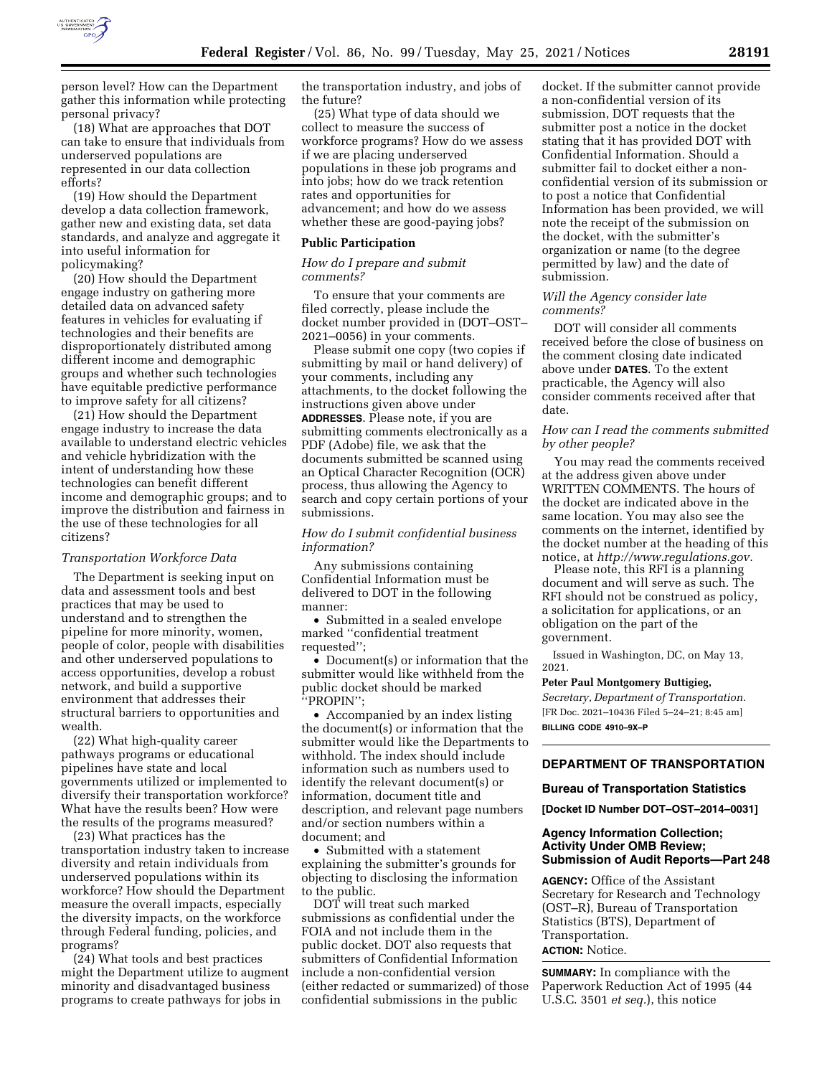

person level? How can the Department gather this information while protecting personal privacy?

(18) What are approaches that DOT can take to ensure that individuals from underserved populations are represented in our data collection efforts?

(19) How should the Department develop a data collection framework, gather new and existing data, set data standards, and analyze and aggregate it into useful information for policymaking?

(20) How should the Department engage industry on gathering more detailed data on advanced safety features in vehicles for evaluating if technologies and their benefits are disproportionately distributed among different income and demographic groups and whether such technologies have equitable predictive performance to improve safety for all citizens?

(21) How should the Department engage industry to increase the data available to understand electric vehicles and vehicle hybridization with the intent of understanding how these technologies can benefit different income and demographic groups; and to improve the distribution and fairness in the use of these technologies for all citizens?

### *Transportation Workforce Data*

The Department is seeking input on data and assessment tools and best practices that may be used to understand and to strengthen the pipeline for more minority, women, people of color, people with disabilities and other underserved populations to access opportunities, develop a robust network, and build a supportive environment that addresses their structural barriers to opportunities and wealth.

(22) What high-quality career pathways programs or educational pipelines have state and local governments utilized or implemented to diversify their transportation workforce? What have the results been? How were the results of the programs measured?

(23) What practices has the transportation industry taken to increase diversity and retain individuals from underserved populations within its workforce? How should the Department measure the overall impacts, especially the diversity impacts, on the workforce through Federal funding, policies, and programs?

(24) What tools and best practices might the Department utilize to augment minority and disadvantaged business programs to create pathways for jobs in

the transportation industry, and jobs of the future?

(25) What type of data should we collect to measure the success of workforce programs? How do we assess if we are placing underserved populations in these job programs and into jobs; how do we track retention rates and opportunities for advancement; and how do we assess whether these are good-paying jobs?

### **Public Participation**

*How do I prepare and submit comments?* 

To ensure that your comments are filed correctly, please include the docket number provided in (DOT–OST– 2021–0056) in your comments.

Please submit one copy (two copies if submitting by mail or hand delivery) of your comments, including any attachments, to the docket following the instructions given above under **ADDRESSES**. Please note, if you are submitting comments electronically as a PDF (Adobe) file, we ask that the documents submitted be scanned using an Optical Character Recognition (OCR) process, thus allowing the Agency to search and copy certain portions of your submissions.

### *How do I submit confidential business information?*

Any submissions containing Confidential Information must be delivered to DOT in the following manner:

• Submitted in a sealed envelope marked ''confidential treatment requested":

• Document(s) or information that the submitter would like withheld from the public docket should be marked ''PROPIN'';

• Accompanied by an index listing the document(s) or information that the submitter would like the Departments to withhold. The index should include information such as numbers used to identify the relevant document(s) or information, document title and description, and relevant page numbers and/or section numbers within a document; and

• Submitted with a statement explaining the submitter's grounds for objecting to disclosing the information to the public.

DOT will treat such marked submissions as confidential under the FOIA and not include them in the public docket. DOT also requests that submitters of Confidential Information include a non-confidential version (either redacted or summarized) of those confidential submissions in the public

docket. If the submitter cannot provide a non-confidential version of its submission, DOT requests that the submitter post a notice in the docket stating that it has provided DOT with Confidential Information. Should a submitter fail to docket either a nonconfidential version of its submission or to post a notice that Confidential Information has been provided, we will note the receipt of the submission on the docket, with the submitter's organization or name (to the degree permitted by law) and the date of submission.

## *Will the Agency consider late comments?*

DOT will consider all comments received before the close of business on the comment closing date indicated above under **DATES**. To the extent practicable, the Agency will also consider comments received after that date.

## *How can I read the comments submitted by other people?*

You may read the comments received at the address given above under WRITTEN COMMENTS. The hours of the docket are indicated above in the same location. You may also see the comments on the internet, identified by the docket number at the heading of this notice, at *[http://www.regulations.gov.](http://www.regulations.gov)* 

Please note, this RFI is a planning document and will serve as such. The RFI should not be construed as policy, a solicitation for applications, or an obligation on the part of the government.

Issued in Washington, DC, on May 13, 2021.

### **Peter Paul Montgomery Buttigieg,**

*Secretary, Department of Transportation.*  [FR Doc. 2021–10436 Filed 5–24–21; 8:45 am] **BILLING CODE 4910–9X–P** 

# **DEPARTMENT OF TRANSPORTATION**

### **Bureau of Transportation Statistics**

**[Docket ID Number DOT–OST–2014–0031]** 

## **Agency Information Collection; Activity Under OMB Review; Submission of Audit Reports—Part 248**

**AGENCY:** Office of the Assistant Secretary for Research and Technology (OST–R), Bureau of Transportation Statistics (BTS), Department of Transportation. **ACTION:** Notice.

**SUMMARY:** In compliance with the Paperwork Reduction Act of 1995 (44 U.S.C. 3501 *et seq.*), this notice